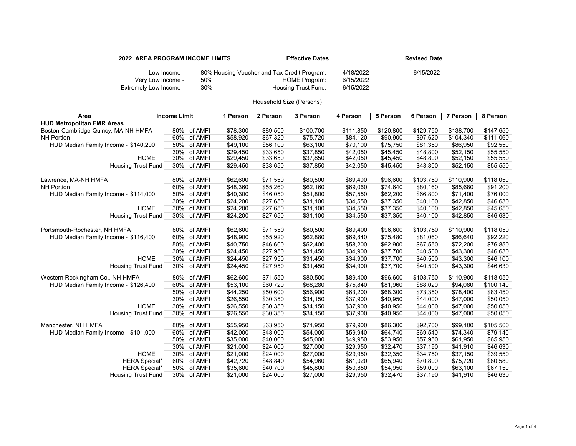| 2022 AREA PROGRAM INCOME LIMITS   |     | <b>Effective Dates</b>                                              |                        | <b>Revised Date</b> |  |  |
|-----------------------------------|-----|---------------------------------------------------------------------|------------------------|---------------------|--|--|
| Low Income -<br>Very Low Income - | 50% | 80% Housing Voucher and Tax Credit Program:<br><b>HOME Program:</b> | 4/18/2022<br>6/15/2022 | 6/15/2022           |  |  |
| Extremely Low Income -            | 30% | <b>Housing Trust Fund:</b>                                          | 6/15/2022              |                     |  |  |

| Area                                 | <b>Income Limit</b>   | 1 Person | 2 Person | 3 Person  | 4 Person  | 5 Person  | 6 Person  | 7 Person  | 8 Person  |
|--------------------------------------|-----------------------|----------|----------|-----------|-----------|-----------|-----------|-----------|-----------|
| <b>HUD Metropolitan FMR Areas</b>    |                       |          |          |           |           |           |           |           |           |
| Boston-Cambridge-Quincy, MA-NH HMFA  | 80% of AMFI           | \$78,300 | \$89,500 | \$100,700 | \$111,850 | \$120,800 | \$129,750 | \$138,700 | \$147,650 |
| <b>NH Portion</b>                    | of AMFI<br>60%        | \$58,920 | \$67,320 | \$75,720  | \$84,120  | \$90,900  | \$97,620  | \$104,340 | \$111,060 |
| HUD Median Family Income - \$140,200 | 50% of AMFI           | \$49,100 | \$56,100 | \$63,100  | \$70,100  | \$75,750  | \$81,350  | \$86,950  | \$92,550  |
|                                      | 30% of AMFI           | \$29,450 | \$33,650 | \$37,850  | \$42,050  | \$45,450  | \$48,800  | \$52,150  | \$55,550  |
| <b>HOME</b>                          | 30%<br>of AMFI        | \$29,450 | \$33,650 | \$37,850  | \$42,050  | \$45,450  | \$48,800  | \$52,150  | \$55,550  |
| <b>Housing Trust Fund</b>            | 30% of AMFI           | \$29,450 | \$33,650 | \$37,850  | \$42,050  | \$45,450  | \$48,800  | \$52,150  | \$55,550  |
|                                      |                       |          |          |           |           |           |           |           |           |
| Lawrence, MA-NH HMFA                 | 80%<br>of AMFI        | \$62,600 | \$71,550 | \$80,500  | \$89,400  | \$96,600  | \$103,750 | \$110,900 | \$118,050 |
| <b>NH Portion</b>                    | of AMFI<br>60%        | \$48,360 | \$55,260 | \$62,160  | \$69,060  | \$74,640  | \$80,160  | \$85,680  | \$91,200  |
| HUD Median Family Income - \$114,000 | of AMFI<br>50%        | \$40,300 | \$46,050 | \$51,800  | \$57,550  | \$62,200  | \$66,800  | \$71,400  | \$76,000  |
|                                      | 30%<br>of AMFI        | \$24,200 | \$27,650 | \$31,100  | \$34,550  | \$37,350  | \$40,100  | \$42,850  | \$46,630  |
| <b>HOME</b>                          | of AMFI<br>30%        | \$24,200 | \$27,650 | \$31,100  | \$34,550  | \$37,350  | \$40,100  | \$42,850  | \$45,650  |
| <b>Housing Trust Fund</b>            | 30% of AMFI           | \$24,200 | \$27,650 | \$31,100  | \$34,550  | \$37,350  | \$40,100  | \$42,850  | \$46,630  |
|                                      |                       |          |          |           |           |           |           |           |           |
| Portsmouth-Rochester, NH HMFA        | 80%<br>of AMFI        | \$62,600 | \$71,550 | \$80,500  | \$89,400  | \$96,600  | \$103,750 | \$110,900 | \$118,050 |
| HUD Median Family Income - \$116,400 | of AMFI<br>60%        | \$48,900 | \$55,920 | \$62,880  | \$69,840  | \$75,480  | \$81,060  | \$86,640  | \$92,220  |
|                                      | 50%<br>of AMFI        | \$40,750 | \$46,600 | \$52,400  | \$58,200  | \$62,900  | \$67,550  | \$72,200  | \$76,850  |
|                                      | 30%<br>of AMFI        | \$24,450 | \$27,950 | \$31,450  | \$34,900  | \$37,700  | \$40,500  | \$43,300  | \$46,630  |
| <b>HOME</b>                          | 30%<br>of AMFI        | \$24,450 | \$27,950 | \$31,450  | \$34,900  | \$37,700  | \$40,500  | \$43,300  | \$46,100  |
| <b>Housing Trust Fund</b>            | 30% of AMFI           | \$24,450 | \$27,950 | \$31,450  | \$34,900  | \$37,700  | \$40,500  | \$43,300  | \$46,630  |
|                                      |                       |          |          |           |           |           |           |           |           |
| Western Rockingham Co., NH HMFA      | of AMFI<br>80%        | \$62,600 | \$71,550 | \$80,500  | \$89,400  | \$96,600  | \$103,750 | \$110,900 | \$118,050 |
| HUD Median Family Income - \$126,400 | 60%<br>of AMFI        | \$53,100 | \$60,720 | \$68,280  | \$75,840  | \$81,960  | \$88,020  | \$94,080  | \$100,140 |
|                                      | 50%<br>of AMFI<br>30% | \$44,250 | \$50,600 | \$56,900  | \$63,200  | \$68,300  | \$73,350  | \$78,400  | \$83,450  |
|                                      | of AMFI               | \$26,550 | \$30,350 | \$34,150  | \$37,900  | \$40,950  | \$44,000  | \$47,000  | \$50,050  |
| <b>HOME</b>                          | 30%<br>of AMFI        | \$26,550 | \$30,350 | \$34,150  | \$37,900  | \$40,950  | \$44,000  | \$47,000  | \$50,050  |
| <b>Housing Trust Fund</b>            | 30%<br>of AMFI        | \$26,550 | \$30,350 | \$34,150  | \$37,900  | \$40,950  | \$44,000  | \$47,000  | \$50,050  |
| Manchester, NH HMFA                  | of AMFI<br>80%        | \$55,950 | \$63,950 | \$71,950  | \$79,900  | \$86,300  | \$92,700  | \$99,100  | \$105,500 |
| HUD Median Family Income - \$101,000 | of AMFI<br>60%        | \$42,000 | \$48,000 | \$54,000  | \$59,940  | \$64,740  | \$69,540  | \$74,340  | \$79,140  |
|                                      | of AMFI<br>50%        | \$35,000 | \$40,000 | \$45,000  | \$49,950  | \$53,950  | \$57,950  | \$61,950  | \$65,950  |
|                                      | 30%<br>of AMFI        | \$21,000 | \$24,000 | \$27,000  | \$29,950  | \$32,470  | \$37,190  | \$41,910  | \$46,630  |
| <b>HOME</b>                          | 30%<br>of AMFI        | \$21,000 | \$24,000 | \$27,000  | \$29,950  | \$32,350  | \$34,750  | \$37,150  | \$39,550  |
| <b>HERA Special*</b>                 | 60%<br>of AMFI        | \$42,720 | \$48,840 | \$54,960  | \$61,020  | \$65,940  | \$70,800  | \$75,720  | \$80,580  |
| <b>HERA Special*</b>                 | 50%<br>of AMFI        | \$35,600 | \$40,700 | \$45,800  | \$50,850  | \$54,950  | \$59,000  | \$63,100  | \$67,150  |
| <b>Housing Trust Fund</b>            | 30% of AMFI           | \$21,000 | \$24,000 | \$27,000  | \$29,950  | \$32,470  | \$37,190  | \$41,910  | \$46,630  |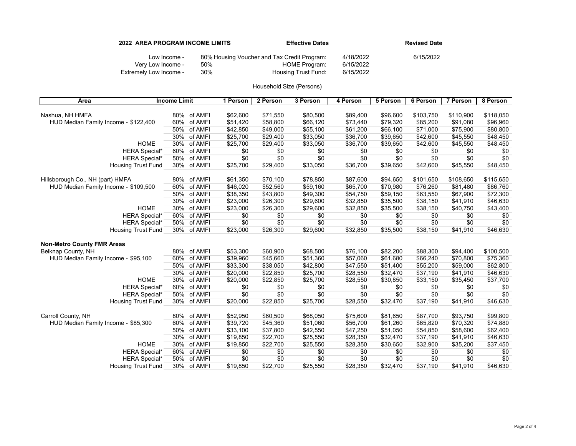|                                   | <b>2022 AREA PROGRAM INCOME LIMITS</b> | <b>Effective Dates</b>                                       |                        | <b>Revised Date</b> |  |  |
|-----------------------------------|----------------------------------------|--------------------------------------------------------------|------------------------|---------------------|--|--|
| Low Income -<br>Very Low Income - | 50%                                    | 80% Housing Voucher and Tax Credit Program:<br>HOME Program: | 4/18/2022<br>6/15/2022 | 6/15/2022           |  |  |
| Extremely Low Income -            | 30%                                    | Housing Trust Fund:                                          | 6/15/2022              |                     |  |  |

| Area                                 | <b>Income Limit</b> | 1 Person | 2 Person | 3 Person | 4 Person | 5 Person | 6 Person  | 7 Person  | 8 Person  |
|--------------------------------------|---------------------|----------|----------|----------|----------|----------|-----------|-----------|-----------|
|                                      |                     |          |          |          |          |          |           |           |           |
| Nashua, NH HMFA                      | 80%<br>of AMFI      | \$62,600 | \$71,550 | \$80,500 | \$89,400 | \$96,600 | \$103,750 | \$110,900 | \$118,050 |
| HUD Median Family Income - \$122,400 | 60%<br>of AMFI      | \$51,420 | \$58,800 | \$66,120 | \$73,440 | \$79,320 | \$85,200  | \$91,080  | \$96,960  |
|                                      | 50%<br>of AMFI      | \$42,850 | \$49,000 | \$55,100 | \$61,200 | \$66,100 | \$71,000  | \$75,900  | \$80,800  |
|                                      | 30%<br>of AMFI      | \$25,700 | \$29,400 | \$33,050 | \$36,700 | \$39,650 | \$42,600  | \$45,550  | \$48,450  |
| <b>HOME</b>                          | 30%<br>of AMFI      | \$25,700 | \$29,400 | \$33,050 | \$36,700 | \$39,650 | \$42,600  | \$45,550  | \$48,450  |
| <b>HERA Special*</b>                 | 60%<br>of AMFI      | \$0      | \$0      | \$0      | \$0      | \$0      | \$0       | \$0       | \$0       |
| <b>HERA Special*</b>                 | 50%<br>of AMFI      | \$0      | \$0      | \$0      | \$0      | \$0      | \$0       | \$0       | \$0       |
| <b>Housing Trust Fund</b>            | 30%<br>of AMFI      | \$25,700 | \$29,400 | \$33,050 | \$36,700 | \$39,650 | \$42,600  | \$45,550  | \$48,450  |
|                                      |                     |          |          |          |          |          |           |           |           |
| Hillsborough Co., NH (part) HMFA     | 80%<br>of AMFI      | \$61,350 | \$70,100 | \$78,850 | \$87,600 | \$94,650 | \$101,650 | \$108,650 | \$115,650 |
| HUD Median Family Income - \$109,500 | 60%<br>of AMFI      | \$46.020 | \$52,560 | \$59,160 | \$65,700 | \$70,980 | \$76.260  | \$81,480  | \$86,760  |
|                                      | 50%<br>of AMFI      | \$38,350 | \$43,800 | \$49,300 | \$54,750 | \$59,150 | \$63,550  | \$67,900  | \$72,300  |
|                                      | 30%<br>of AMFI      | \$23,000 | \$26,300 | \$29,600 | \$32,850 | \$35,500 | \$38,150  | \$41,910  | \$46,630  |
| <b>HOME</b>                          | 30%<br>of AMFI      | \$23,000 | \$26,300 | \$29,600 | \$32,850 | \$35,500 | \$38,150  | \$40,750  | \$43,400  |
| <b>HERA Special*</b>                 | 60%<br>of AMFI      | \$0      | \$0      | \$0      | \$0      | \$0      | \$0       | \$0       | \$0       |
| <b>HERA Special*</b>                 | 50%<br>of AMFI      | \$0      | \$0      | \$0      | \$0      | \$0      | \$0       | \$0       | \$0       |
| <b>Housing Trust Fund</b>            | 30% of AMFI         | \$23,000 | \$26,300 | \$29,600 | \$32,850 | \$35,500 | \$38,150  | \$41,910  | \$46,630  |
|                                      |                     |          |          |          |          |          |           |           |           |
| <b>Non-Metro County FMR Areas</b>    |                     |          |          |          |          |          |           |           |           |
| Belknap County, NH                   | of AMFI<br>80%      | \$53,300 | \$60,900 | \$68,500 | \$76,100 | \$82,200 | \$88,300  | \$94,400  | \$100,500 |
| HUD Median Family Income - \$95,100  | 60%<br>of AMFI      | \$39,960 | \$45,660 | \$51,360 | \$57,060 | \$61,680 | \$66,240  | \$70,800  | \$75,360  |
|                                      | 50%<br>of AMFI      | \$33,300 | \$38,050 | \$42,800 | \$47,550 | \$51,400 | \$55,200  | \$59,000  | \$62,800  |
|                                      | 30%<br>of AMFI      | \$20,000 | \$22,850 | \$25,700 | \$28,550 | \$32,470 | \$37,190  | \$41,910  | \$46,630  |
| <b>HOME</b>                          | 30%<br>of AMFI      | \$20,000 | \$22,850 | \$25,700 | \$28,550 | \$30,850 | \$33,150  | \$35,450  | \$37,700  |
| <b>HERA Special*</b>                 | 60%<br>of AMFI      | \$0      | \$0      | \$0      | \$0      | \$0      | \$0       | \$0       | \$0       |
| <b>HERA Special*</b>                 | 50%<br>of AMFI      | \$0      | \$0      | \$0      | \$0      | \$0      | \$0       | \$0       | \$0       |
| <b>Housing Trust Fund</b>            | 30%<br>of AMFI      | \$20,000 | \$22,850 | \$25,700 | \$28,550 | \$32,470 | \$37,190  | \$41,910  | \$46,630  |
|                                      |                     |          |          |          |          |          |           |           |           |
| Carroll County, NH                   | 80%<br>of AMFI      | \$52,950 | \$60,500 | \$68,050 | \$75,600 | \$81,650 | \$87,700  | \$93,750  | \$99,800  |
| HUD Median Family Income - \$85,300  | 60%<br>of AMFI      | \$39,720 | \$45,360 | \$51,060 | \$56,700 | \$61,260 | \$65,820  | \$70,320  | \$74,880  |
|                                      | 50%<br>of AMFI      | \$33,100 | \$37,800 | \$42,550 | \$47,250 | \$51,050 | \$54,850  | \$58,600  | \$62,400  |
|                                      | 30%<br>of AMFI      | \$19,850 | \$22,700 | \$25,550 | \$28,350 | \$32,470 | \$37,190  | \$41,910  | \$46,630  |
| <b>HOME</b>                          | 30%<br>of AMFI      | \$19,850 | \$22,700 | \$25,550 | \$28,350 | \$30,650 | \$32,900  | \$35,200  | \$37,450  |
| <b>HERA Special*</b>                 | 60%<br>of AMFI      | \$0      | \$0      | \$0      | \$0      | \$0      | \$0       | \$0       | \$0       |
| <b>HERA Special*</b>                 | 50%<br>of AMFI      | \$0      | \$0      | \$0      | \$0      | \$0      | \$0       | \$0       | \$0       |
| <b>Housing Trust Fund</b>            | 30%<br>of AMFI      | \$19,850 | \$22,700 | \$25,550 | \$28,350 | \$32,470 | \$37,190  | \$41,910  | \$46,630  |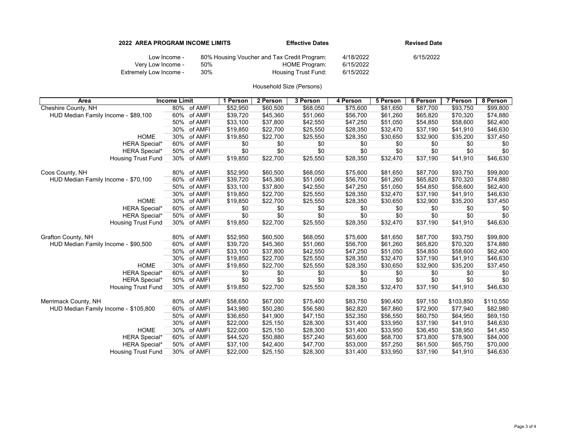| <b>2022 AREA PROGRAM INCOME LIMITS</b> |     | <b>Effective Dates</b>                                       | <b>Revised Date</b>    |           |  |
|----------------------------------------|-----|--------------------------------------------------------------|------------------------|-----------|--|
| Low Income -<br>Very Low Income -      | 50% | 80% Housing Voucher and Tax Credit Program:<br>HOME Program: | 4/18/2022<br>6/15/2022 | 6/15/2022 |  |
| Extremely Low Income -                 | 30% | <b>Housing Trust Fund:</b>                                   | 6/15/2022              |           |  |

| Area                                 | <b>Income Limit</b> | 1 Person | 2 Person | 3 Person | 4 Person | 5 Person | 6 Person | 7 Person  | 8 Person  |
|--------------------------------------|---------------------|----------|----------|----------|----------|----------|----------|-----------|-----------|
| Cheshire County, NH                  | 80% of AMFI         | \$52,950 | \$60,500 | \$68,050 | \$75.600 | \$81,650 | \$87.700 | \$93.750  | \$99,800  |
| HUD Median Family Income - \$89,100  | 60%<br>of AMFI      | \$39,720 | \$45,360 | \$51,060 | \$56,700 | \$61,260 | \$65,820 | \$70,320  | \$74,880  |
|                                      | 50%<br>of AMFI      | \$33,100 | \$37,800 | \$42,550 | \$47,250 | \$51,050 | \$54,850 | \$58,600  | \$62,400  |
|                                      | 30%<br>of AMFI      | \$19,850 | \$22,700 | \$25,550 | \$28,350 | \$32,470 | \$37,190 | \$41,910  | \$46,630  |
| <b>HOME</b>                          | 30%<br>of AMFI      | \$19,850 | \$22,700 | \$25,550 | \$28,350 | \$30,650 | \$32,900 | \$35,200  | \$37,450  |
| <b>HERA Special*</b>                 | 60%<br>of AMFI      | \$0      | \$0      | \$0      | \$0      | \$0      | \$0      | \$0       | \$0       |
| <b>HERA Special*</b>                 | 50%<br>of AMFI      | \$0      | \$0      | \$0      | \$0      | \$0      | \$0      | \$0       | \$0       |
| <b>Housing Trust Fund</b>            | 30%<br>of AMFI      | \$19,850 | \$22,700 | \$25,550 | \$28,350 | \$32,470 | \$37,190 | \$41,910  | \$46,630  |
|                                      |                     |          |          |          |          |          |          |           |           |
| Coos County, NH                      | of AMFI<br>80%      | \$52,950 | \$60,500 | \$68,050 | \$75,600 | \$81,650 | \$87,700 | \$93,750  | \$99,800  |
| HUD Median Family Income - \$70,100  | of AMFI<br>60%      | \$39,720 | \$45,360 | \$51,060 | \$56,700 | \$61,260 | \$65,820 | \$70,320  | \$74,880  |
|                                      | 50%<br>of AMFI      | \$33,100 | \$37,800 | \$42,550 | \$47,250 | \$51,050 | \$54,850 | \$58,600  | \$62,400  |
|                                      | 30%<br>of AMFI      | \$19,850 | \$22,700 | \$25,550 | \$28,350 | \$32,470 | \$37,190 | \$41,910  | \$46,630  |
| <b>HOME</b>                          | of AMFI<br>30%      | \$19,850 | \$22,700 | \$25,550 | \$28,350 | \$30,650 | \$32,900 | \$35,200  | \$37,450  |
| <b>HERA Special*</b>                 | 60%<br>of AMFI      | \$0      | \$0      | \$0      | \$0      | \$0      | \$0      | \$0       | \$0       |
| <b>HERA Special*</b>                 | 50%<br>of AMFI      | \$0      | \$0      | \$0      | \$0      | \$0      | \$0      | \$0       | \$0       |
| <b>Housing Trust Fund</b>            | 30% of AMFI         | \$19,850 | \$22,700 | \$25,550 | \$28,350 | \$32,470 | \$37,190 | \$41,910  | \$46,630  |
|                                      |                     |          |          |          |          |          |          |           |           |
| Grafton County, NH                   | 80% of AMFI         | \$52,950 | \$60,500 | \$68,050 | \$75,600 | \$81,650 | \$87,700 | \$93,750  | \$99,800  |
| HUD Median Family Income - \$90,500  | of AMFI<br>60%      | \$39,720 | \$45,360 | \$51,060 | \$56,700 | \$61,260 | \$65,820 | \$70,320  | \$74,880  |
|                                      | 50%<br>of AMFI      | \$33,100 | \$37,800 | \$42,550 | \$47,250 | \$51,050 | \$54,850 | \$58,600  | \$62,400  |
|                                      | 30%<br>of AMFI      | \$19,850 | \$22,700 | \$25,550 | \$28,350 | \$32,470 | \$37,190 | \$41,910  | \$46,630  |
| <b>HOME</b>                          | 30%<br>of AMFI      | \$19,850 | \$22,700 | \$25,550 | \$28,350 | \$30,650 | \$32,900 | \$35,200  | \$37,450  |
| <b>HERA Special*</b>                 | of AMFI<br>60%      | \$0      | \$0      | \$0      | \$0      | \$0      | \$0      | \$0       | \$0       |
| <b>HERA Special*</b>                 | of AMFI<br>50%      | \$0      | \$0      | \$0      | \$0      | \$0      | \$0      | \$0       | \$0       |
| <b>Housing Trust Fund</b>            | 30% of AMFI         | \$19,850 | \$22,700 | \$25,550 | \$28,350 | \$32,470 | \$37,190 | \$41,910  | \$46,630  |
|                                      |                     |          |          |          |          |          |          |           |           |
| Merrimack County, NH                 | of AMFI<br>80%      | \$58,650 | \$67,000 | \$75,400 | \$83,750 | \$90,450 | \$97,150 | \$103,850 | \$110,550 |
| HUD Median Family Income - \$105,800 | 60%<br>of AMFI      | \$43,980 | \$50,280 | \$56,580 | \$62,820 | \$67,860 | \$72,900 | \$77,940  | \$82,980  |
|                                      | 50%<br>of AMFI      | \$36,650 | \$41,900 | \$47,150 | \$52,350 | \$56,550 | \$60,750 | \$64,950  | \$69,150  |
|                                      | 30%<br>of AMFI      | \$22,000 | \$25,150 | \$28,300 | \$31,400 | \$33,950 | \$37,190 | \$41,910  | \$46,630  |
| <b>HOME</b>                          | 30%<br>of AMFI      | \$22,000 | \$25,150 | \$28,300 | \$31,400 | \$33,950 | \$36,450 | \$38,950  | \$41,450  |
| <b>HERA Special*</b>                 | 60%<br>of AMFI      | \$44,520 | \$50,880 | \$57,240 | \$63,600 | \$68,700 | \$73,800 | \$78,900  | \$84,000  |
| <b>HERA Special*</b>                 | 50%<br>of AMFI      | \$37,100 | \$42,400 | \$47,700 | \$53,000 | \$57,250 | \$61,500 | \$65,750  | \$70,000  |
| <b>Housing Trust Fund</b>            | 30%<br>of AMFI      | \$22,000 | \$25,150 | \$28,300 | \$31.400 | \$33,950 | \$37,190 | \$41,910  | \$46,630  |